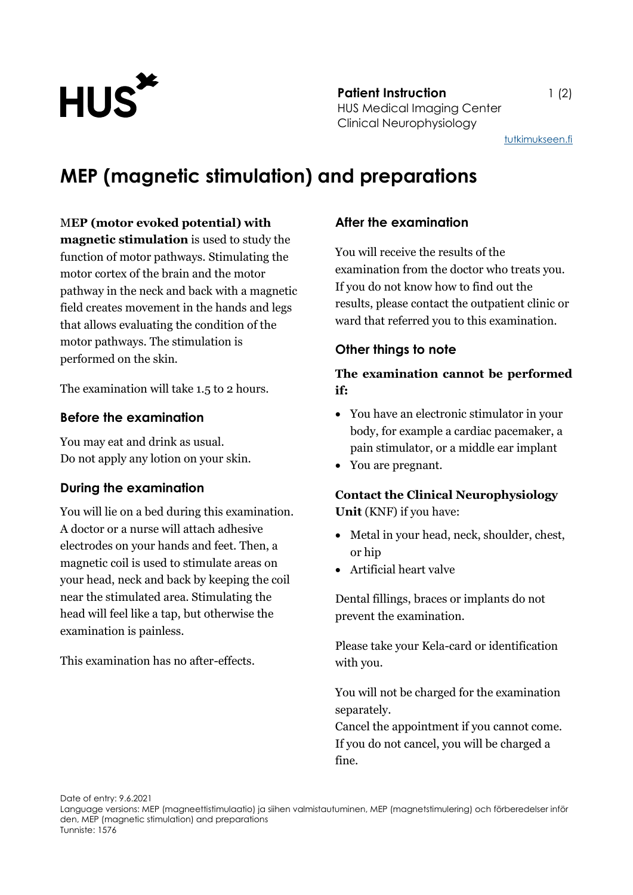

**Patient Instruction** 1 (2) HUS Medical Imaging Center Clinical Neurophysiology

[tutkimukseen.fi](http://www.tutkimukseen.fi/)

# **MEP (magnetic stimulation) and preparations**

#### M**EP (motor evoked potential) with**

**magnetic stimulation** is used to study the function of motor pathways. Stimulating the motor cortex of the brain and the motor pathway in the neck and back with a magnetic field creates movement in the hands and legs that allows evaluating the condition of the motor pathways. The stimulation is performed on the skin.

The examination will take 1.5 to 2 hours.

#### **Before the examination**

You may eat and drink as usual. Do not apply any lotion on your skin.

### **During the examination**

You will lie on a bed during this examination. A doctor or a nurse will attach adhesive electrodes on your hands and feet. Then, a magnetic coil is used to stimulate areas on your head, neck and back by keeping the coil near the stimulated area. Stimulating the head will feel like a tap, but otherwise the examination is painless.

This examination has no after-effects.

### **After the examination**

You will receive the results of the examination from the doctor who treats you. If you do not know how to find out the results, please contact the outpatient clinic or ward that referred you to this examination.

### **Other things to note**

### **The examination cannot be performed if:**

- You have an electronic stimulator in your body, for example a cardiac pacemaker, a pain stimulator, or a middle ear implant
- You are pregnant.

## **Contact the Clinical Neurophysiology Unit** (KNF) if you have:

- Metal in your head, neck, shoulder, chest, or hip
- Artificial heart valve

Dental fillings, braces or implants do not prevent the examination.

Please take your Kela-card or identification with you.

You will not be charged for the examination separately.

Cancel the appointment if you cannot come. If you do not cancel, you will be charged a fine.

Date of entry: 9.6.2021

Language versions: MEP (magneettistimulaatio) ja siihen valmistautuminen, MEP (magnetstimulering) och förberedelser inför den, MEP (magnetic stimulation) and preparations Tunniste: 1576